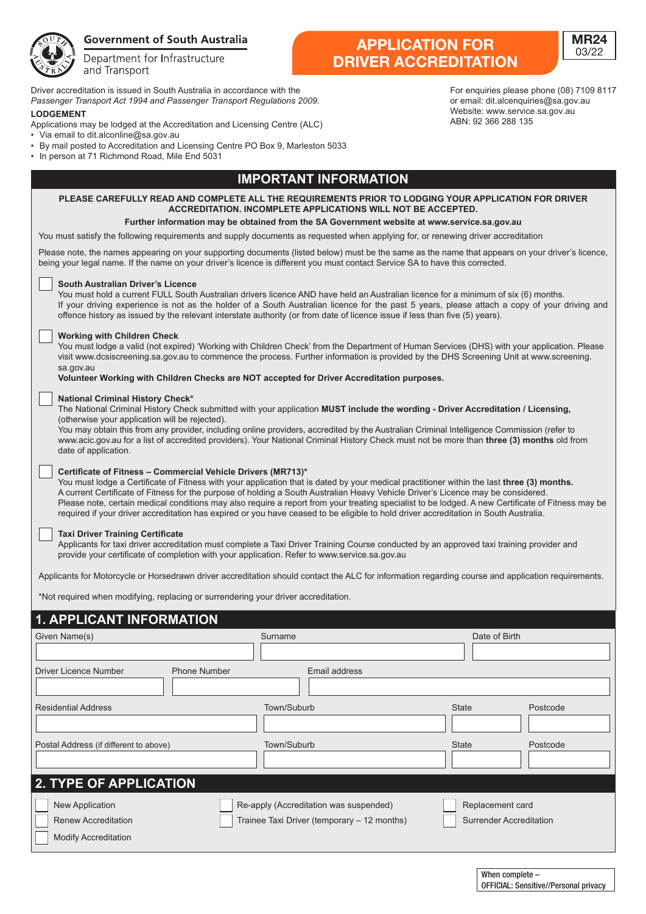

# **Government of South Australia**

Department for Infrastructure and Transport

Driver accreditation is issued in South Australia in accordance with the Passenger Transport Act 1994 and Passenger Transport Regulations 2009. **LODGEMENT** *Passenger Act 1994 and Passenger Transport Act 1994 and Passenger Transport Regulations 2009.* 

- *POD DEMERTS*<br>Applications may be lodged at the Accreditation and Licensing Centre (ALC)
- Via email to dit.alconline@sa.gov.au **Accreditations may be a contract at the Accreditation and Licensing Centre (ALC)**
- By mail posted to Accreditation and Licensing Centre PO Box 9, Marleston 5033  $\mathcal{L}^{\text{max}}$  matrix  $\mathcal{L}^{\text{max}}$  and  $\mathcal{L}^{\text{max}}$  and  $\mathcal{L}^{\text{max}}$  and  $\mathcal{L}^{\text{max}}$  and  $\mathcal{L}^{\text{max}}$
- In person at 71 Richmond Road, Mile End 5031

# **IMPORTANT INFORMATION**

## **PLEASE CAREFULLY READ AND COMPLETE ALL THE REQUIREMENTS PRIOR TO LODGING YOUR APPLICATION FOR DRIVER ACCREDITATION. INCOMPLETE APPLICATIONS WILL NOT BE ACCEPTED.**

**Further information may be obtained from the SA Government website at www.service.sa.gov.au** You must satisfy the following requirements and supply documents as requested when applying for, or renewing driver accreditation

Please note, the names appearing on your supporting documents (listed below) must be the same as the name that appears on your driver's licence, being your legal name. If the name on your driver's licence is different you must contact Service SA to have this corrected.

### **South Australian Driver's Licence**

You must hold a current FULL South Australian drivers licence AND have held an Australian licence for a minimum of six (6) months. If your driving experience is not as the holder of a South Australian licence for the past 5 years, please attach a copy of your driving and offence history as issued by the relevant interstate authority (or from date of licence issue if less than five (5) years).

### **Working with Children Check**

You must lodge a valid (not expired) 'Working with Children Check' from the Department of Human Services (DHS) with your application. Please visit www.dcsiscreening.sa.gov.au to commence the process. Further information is provided by the DHS Screening Unit at www.screening. sa.gov.au

**Volunteer Working with Children Checks are NOT accepted for Driver Accreditation purposes.**

#### **National Criminal History Check\***

The National Criminal History Check submitted with your application **MUST include the wording - Driver Accreditation / Licensing,**  (otherwise your application will be rejected).

You may obtain this from any provider, including online providers, accredited by the Australian Criminal Intelligence Commission (refer to www.acic.gov.au for a list of accredited providers). Your National Criminal History Check must not be more than **three (3) months** old from date of application.

### **Certificate of Fitness – Commercial Vehicle Drivers (MR713)\***

You must lodge a Certificate of Fitness with your application that is dated by your medical practitioner within the last **three (3) months.** A current Certificate of Fitness for the purpose of holding a South Australian Heavy Vehicle Driver's Licence may be considered. Please note, certain medical conditions may also require a report from your treating specialist to be lodged. A new Certificate of Fitness may be required if your driver accreditation has expired or you have ceased to be eligible to hold driver accreditation in South Australia.

### **Taxi Driver Training Certificate**

Applicants for taxi driver accreditation must complete a Taxi Driver Training Course conducted by an approved taxi training provider and provide your certificate of completion with your application. Refer to www.service.sa.gov.au

Applicants for Motorcycle or Horsedrawn driver accreditation should contact the ALC for information regarding course and application requirements.

\*Not required when modifying, replacing or surrendering your driver accreditation.

## **1. APPLICANT INFORMATION Experiment Date of Birth Contract Order of Birth Contract Order of Birth 1. APPLICANT INFORMATION**

| <u>EIVANT INI VINIATIVN</u>                  |                                             |                                |
|----------------------------------------------|---------------------------------------------|--------------------------------|
| Given Name(s)                                | Surname                                     | Date of Birth                  |
|                                              |                                             |                                |
| <b>Phone Number</b><br>Driver Licence Number | Email address                               |                                |
|                                              |                                             |                                |
| <b>Residential Address</b>                   | Town/Suburb                                 | <b>State</b><br>Postcode       |
|                                              |                                             |                                |
| Postal Address (if different to above)       | Town/Suburb                                 | <b>State</b><br>Postcode       |
| <b>2. TYPE OF APPLICATION</b>                |                                             |                                |
| <b>New Application</b>                       | Re-apply (Accreditation was suspended)      | Replacement card               |
| <b>Renew Accreditation</b>                   | Trainee Taxi Driver (temporary - 12 months) | <b>Surrender Accreditation</b> |
| <b>Modify Accreditation</b>                  |                                             |                                |

**DRIVER ACCREDITATION** For enquiries please phone (08) 7109 8117 **DRIVER ACCREDITATION**

**APPLICATION FOR**

AFFLICATION FOR<br>WED ACCOEDITATI

or email: dit.alcenquiries@sa.gov.au Website: www.service.sa.gov.au ABN: 92 366 288 135

**MR24** 03/22